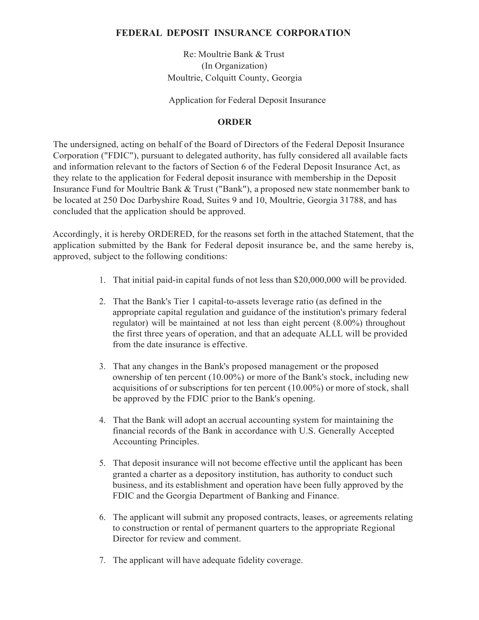# **FEDERAL DEPOSIT INSURANCE CORPORATION**

Re: Moultrie Bank & Trust (In Organization) Moultrie, Colquitt County, Georgia

Application for Federal Deposit Insurance

## **ORDER**

The undersigned, acting on behalf of the Board of Directors of the Federal Deposit Insurance Corporation ("FDIC"), pursuant to delegated authority, has fully considered all available facts and information relevant to the factors of Section 6 of the Federal Deposit Insurance Act, as they relate to the application for Federal deposit insurance with membership in the Deposit Insurance Fund for Moultrie Bank & Trust ("Bank"), a proposed new state nonmember bank to be located at 250 Doc Darbyshire Road, Suites 9 and 10, Moultrie, Georgia 31788, and has concluded that the application should be approved.

Accordingly, it is hereby ORDERED, for the reasons set forth in the attached Statement, that the application submitted by the Bank for Federal deposit insurance be, and the same hereby is, approved, subject to the following conditions:

- 1. That initial paid-in capital funds of not less than \$20,000,000 will be provided.
- 2. That the Bank's Tier 1 capital-to-assets leverage ratio (as defined in the appropriate capital regulation and guidance of the institution's primary federal regulator) will be maintained at not less than eight percent (8.00%) throughout the first three years of operation, and that an adequate ALLL will be provided from the date insurance is effective.
- 3. That any changes in the Bank's proposed management or the proposed ownership of ten percent (10.00%) or more of the Bank's stock, including new acquisitions of or subscriptions for ten percent (10.00%) or more of stock, shall be approved by the FDIC prior to the Bank's opening.
- 4. That the Bank will adopt an accrual accounting system for maintaining the financial records of the Bank in accordance with U.S. Generally Accepted Accounting Principles.
- 5. That deposit insurance will not become effective until the applicant has been granted a charter as a depository institution, has authority to conduct such business, and its establishment and operation have been fully approved by the FDIC and the Georgia Department of Banking and Finance.
- 6. The applicant will submit any proposed contracts, leases, or agreements relating to construction or rental of permanent quarters to the appropriate Regional Director for review and comment.
- 7. The applicant will have adequate fidelity coverage.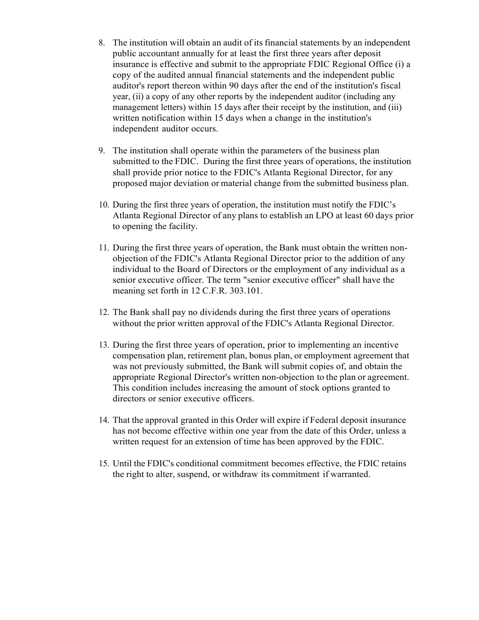- 8. The institution will obtain an audit of its financial statements by an independent public accountant annually for at least the first three years after deposit insurance is effective and submit to the appropriate FDIC Regional Office (i) a copy of the audited annual financial statements and the independent public auditor's report thereon within 90 days after the end of the institution's fiscal year, (ii) a copy of any other reports by the independent auditor (including any management letters) within 15 days after their receipt by the institution, and (iii) written notification within 15 days when a change in the institution's independent auditor occurs.
- 9. The institution shall operate within the parameters of the business plan submitted to the FDIC. During the first three years of operations, the institution shall provide prior notice to the FDIC's Atlanta Regional Director, for any proposed major deviation or material change from the submitted business plan.
- 10. During the first three years of operation, the institution must notify the FDIC's Atlanta Regional Director of any plans to establish an LPO at least 60 days prior to opening the facility.
- 11. During the first three years of operation, the Bank must obtain the written nonobjection of the FDIC's Atlanta Regional Director prior to the addition of any individual to the Board of Directors or the employment of any individual as a senior executive officer. The term "senior executive officer" shall have the meaning set forth in 12 C.F.R. 303.101.
- 12. The Bank shall pay no dividends during the first three years of operations without the prior written approval of the FDIC's Atlanta Regional Director.
- 13. During the first three years of operation, prior to implementing an incentive compensation plan, retirement plan, bonus plan, or employment agreement that was not previously submitted, the Bank will submit copies of, and obtain the appropriate Regional Director's written non-objection to the plan or agreement. This condition includes increasing the amount of stock options granted to directors or senior executive officers.
- 14. That the approval granted in this Order will expire if Federal deposit insurance has not become effective within one year from the date of this Order, unless a written request for an extension of time has been approved by the FDIC.
- 15. Until the FDIC's conditional commitment becomes effective, the FDIC retains the right to alter, suspend, or withdraw its commitment if warranted.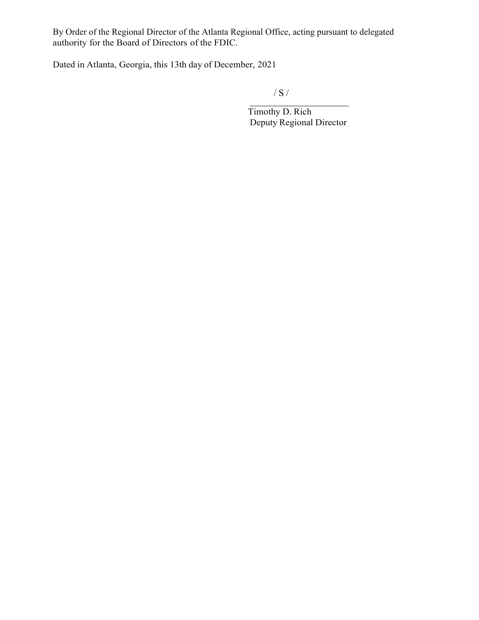By Order of the Regional Director of the Atlanta Regional Office, acting pursuant to delegated authority for the Board of Directors of the FDIC.

Dated in Atlanta, Georgia, this 13th day of December, 2021

/ S /

Timothy D. Rich Deputy Regional Director